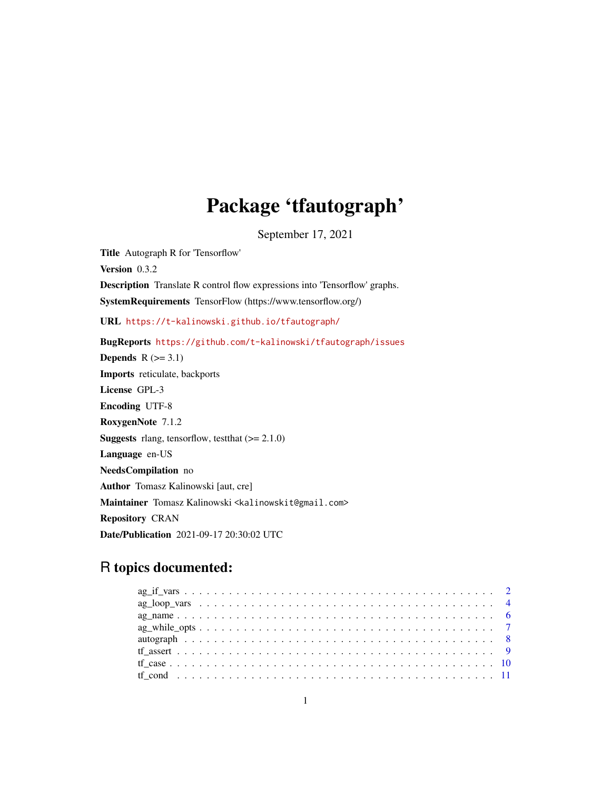# Package 'tfautograph'

September 17, 2021

<span id="page-0-0"></span>Title Autograph R for 'Tensorflow' Version 0.3.2 Description Translate R control flow expressions into 'Tensorflow' graphs. SystemRequirements TensorFlow (https://www.tensorflow.org/) URL <https://t-kalinowski.github.io/tfautograph/> BugReports <https://github.com/t-kalinowski/tfautograph/issues> Depends  $R$  ( $>= 3.1$ ) Imports reticulate, backports License GPL-3 Encoding UTF-8 RoxygenNote 7.1.2 **Suggests** rlang, tensorflow, test that  $(>= 2.1.0)$ Language en-US NeedsCompilation no Author Tomasz Kalinowski [aut, cre] Maintainer Tomasz Kalinowski <kalinowskit@gmail.com> Repository CRAN Date/Publication 2021-09-17 20:30:02 UTC

# R topics documented:

| $ag\_while\_opts \ldots \ldots \ldots \ldots \ldots \ldots \ldots \ldots \ldots \ldots \ldots \ldots$ |  |
|-------------------------------------------------------------------------------------------------------|--|
|                                                                                                       |  |
|                                                                                                       |  |
|                                                                                                       |  |
|                                                                                                       |  |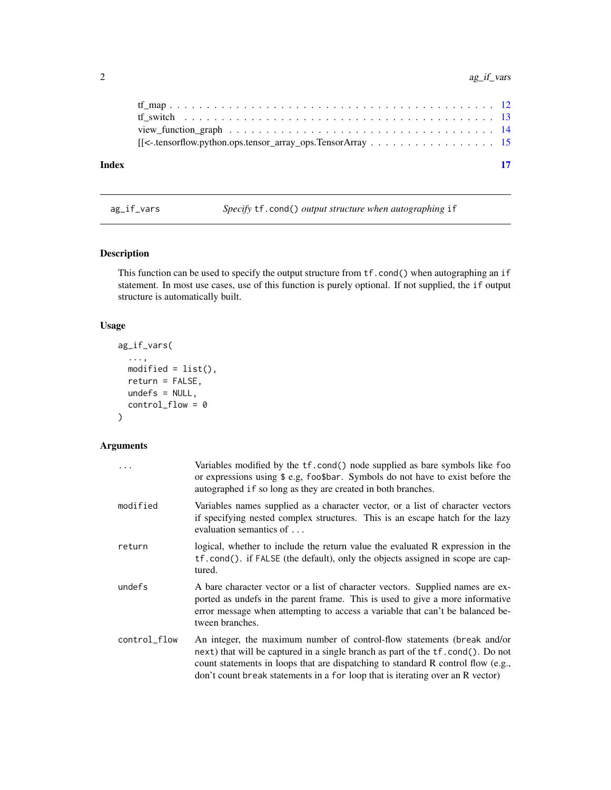# <span id="page-1-0"></span>2 ag\_if\_vars

ag\_if\_vars *Specify* tf.cond() *output structure when autographing* if

# Description

This function can be used to specify the output structure from tf.cond() when autographing an if statement. In most use cases, use of this function is purely optional. If not supplied, the if output structure is automatically built.

# Usage

```
ag_if_vars(
  ...,
 modified = list(),
 return = FALSE,undefs = NULL,
  control_flow = 0
)
```
# Arguments

| $\ddots$     | Variables modified by the tf.cond() node supplied as bare symbols like foo<br>or expressions using \$ e.g, foo\$bar. Symbols do not have to exist before the<br>autographed if so long as they are created in both branches.                                                                                                     |
|--------------|----------------------------------------------------------------------------------------------------------------------------------------------------------------------------------------------------------------------------------------------------------------------------------------------------------------------------------|
| modified     | Variables names supplied as a character vector, or a list of character vectors<br>if specifying nested complex structures. This is an escape hatch for the lazy<br>evaluation semantics of                                                                                                                                       |
| return       | logical, whether to include the return value the evaluated R expression in the<br>tf.cond(). if FALSE (the default), only the objects assigned in scope are cap-<br>tured.                                                                                                                                                       |
| undefs       | A bare character vector or a list of character vectors. Supplied names are ex-<br>ported as undefs in the parent frame. This is used to give a more informative<br>error message when attempting to access a variable that can't be balanced be-<br>tween branches.                                                              |
| control_flow | An integer, the maximum number of control-flow statements (break and/or<br>next) that will be captured in a single branch as part of the tf.cond(). Do not<br>count statements in loops that are dispatching to standard R control flow (e.g.,<br>don't count break statements in a for loop that is iterating over an R vector) |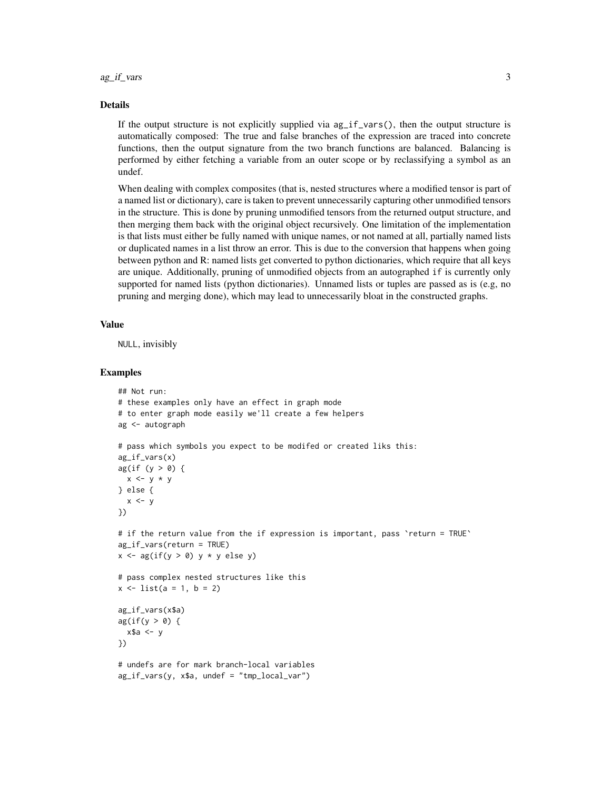#### Details

If the output structure is not explicitly supplied via  $ag_i f_\text{vars}()$ , then the output structure is automatically composed: The true and false branches of the expression are traced into concrete functions, then the output signature from the two branch functions are balanced. Balancing is performed by either fetching a variable from an outer scope or by reclassifying a symbol as an undef.

When dealing with complex composites (that is, nested structures where a modified tensor is part of a named list or dictionary), care is taken to prevent unnecessarily capturing other unmodified tensors in the structure. This is done by pruning unmodified tensors from the returned output structure, and then merging them back with the original object recursively. One limitation of the implementation is that lists must either be fully named with unique names, or not named at all, partially named lists or duplicated names in a list throw an error. This is due to the conversion that happens when going between python and R: named lists get converted to python dictionaries, which require that all keys are unique. Additionally, pruning of unmodified objects from an autographed if is currently only supported for named lists (python dictionaries). Unnamed lists or tuples are passed as is (e.g, no pruning and merging done), which may lead to unnecessarily bloat in the constructed graphs.

#### Value

NULL, invisibly

```
## Not run:
# these examples only have an effect in graph mode
# to enter graph mode easily we'll create a few helpers
ag <- autograph
# pass which symbols you expect to be modifed or created liks this:
ag_if_vars(x)
ag(if (y > 0) {
 x \le y * y} else {
 x < -y})
# if the return value from the if expression is important, pass `return = TRUE`
ag_if_vars(return = TRUE)
x \leftarrow ag(if(y > 0) y * y else y)# pass complex nested structures like this
x \le - list(a = 1, b = 2)
ag_if_vars(x$a)
ag(if(y > 0) {
 x$a \leftarrow y
})
# undefs are for mark branch-local variables
ag_if_vars(y, x$a, undef = "tmp_local_var")
```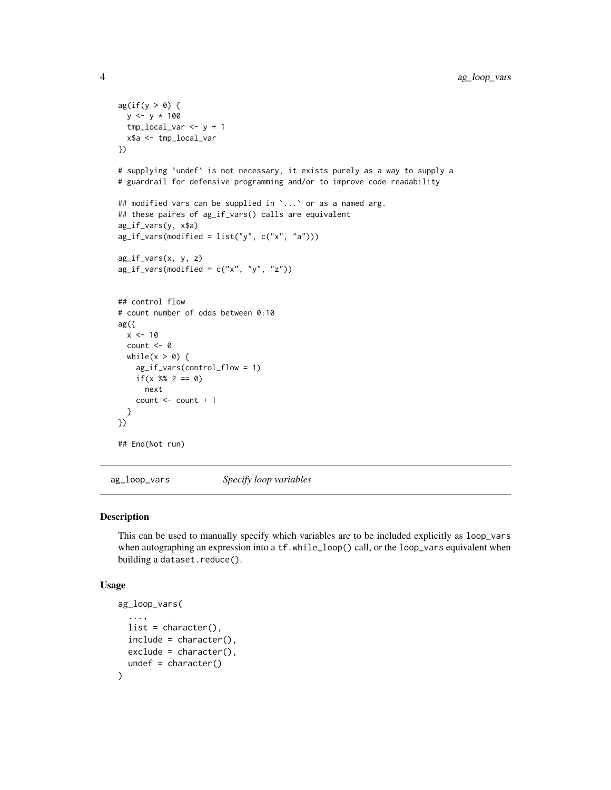```
ag(if(y > 0) {
 y \le -y * 100tmp_local_var <- y + 1
  x$a <- tmp_local_var
})
# supplying `undef` is not necessary, it exists purely as a way to supply a
# guardrail for defensive programming and/or to improve code readability
## modified vars can be supplied in `...` or as a named arg.
## these paires of ag_if_vars() calls are equivalent
ag_if_vars(y, x$a)
ag_i f_vars(modified = list("y", c("x", "a")))ag_if_vars(x, y, z)
ag_i f_vars(modified = c("x", "y", "z"))## control flow
# count number of odds between 0:10
ag({
 x < -10count <- 0
  while(x > 0) {
   ag_if_vars(control_flow = 1)
    if(x %% 2 == 0)
     next
    count <- count + 1
  }
})
## End(Not run)
```
<span id="page-3-1"></span>ag\_loop\_vars *Specify loop variables*

#### Description

This can be used to manually specify which variables are to be included explicitly as loop\_vars when autographing an expression into a  $tf$ .while\_loop() call, or the loop\_vars equivalent when building a dataset.reduce().

#### Usage

```
ag_loop_vars(
  ...,
 list = character(),
 include = character(),
 exclude = character(),undef = character()
)
```
<span id="page-3-0"></span>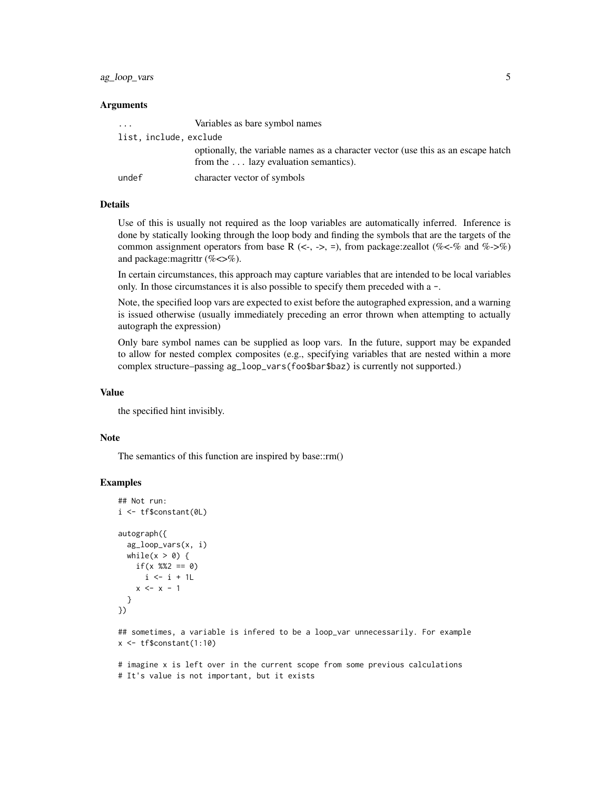# ag\_loop\_vars 5

#### Arguments

| $\cdots$               | Variables as bare symbol names                                                                                             |
|------------------------|----------------------------------------------------------------------------------------------------------------------------|
| list, include, exclude |                                                                                                                            |
|                        | optionally, the variable names as a character vector (use this as an escape hatch<br>from the  lazy evaluation semantics). |
| undef                  | character vector of symbols                                                                                                |

# Details

Use of this is usually not required as the loop variables are automatically inferred. Inference is done by statically looking through the loop body and finding the symbols that are the targets of the common assignment operators from base R  $(\leq, \leq)$ , from package:zeallot (% $\lt$ -% and %- $\gt$ %) and package: magrittr (% $\ll>$ %).

In certain circumstances, this approach may capture variables that are intended to be local variables only. In those circumstances it is also possible to specify them preceded with a -.

Note, the specified loop vars are expected to exist before the autographed expression, and a warning is issued otherwise (usually immediately preceding an error thrown when attempting to actually autograph the expression)

Only bare symbol names can be supplied as loop vars. In the future, support may be expanded to allow for nested complex composites (e.g., specifying variables that are nested within a more complex structure–passing ag\_loop\_vars(foo\$bar\$baz) is currently not supported.)

#### Value

the specified hint invisibly.

#### Note

The semantics of this function are inspired by base::rm()

#### Examples

```
## Not run:
i <- tf$constant(0L)
autograph({
  ag_loop_vars(x, i)
  while(x > 0) {
    if(x % 2 == 0)i \leftarrow i + 1L
    x \leq -x - 1}
})
```
## sometimes, a variable is infered to be a loop\_var unnecessarily. For example x <- tf\$constant(1:10)

# imagine x is left over in the current scope from some previous calculations # It's value is not important, but it exists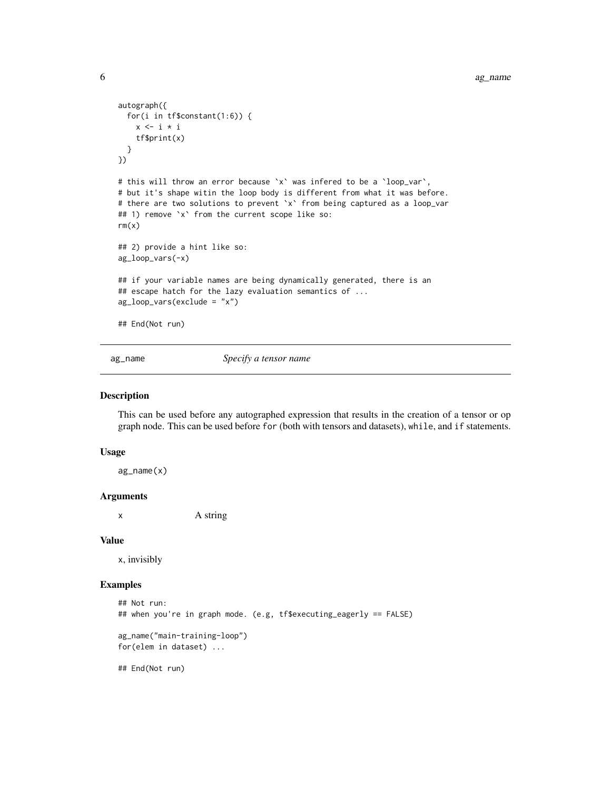```
autograph({
 for(i in tf$constant(1:6)) {
   x \le -i * itf$print(x)
 }
})
# this will throw an error because `x` was infered to be a `loop_var`,
# but it's shape witin the loop body is different from what it was before.
# there are two solutions to prevent `x` from being captured as a loop_var
## 1) remove `x` from the current scope like so:
rm(x)## 2) provide a hint like so:
ag_loop_vars(-x)
## if your variable names are being dynamically generated, there is an
## escape hatch for the lazy evaluation semantics of ...
ag_loop_vars(exclude = "x")
## End(Not run)
```
<span id="page-5-1"></span>ag\_name *Specify a tensor name*

#### Description

This can be used before any autographed expression that results in the creation of a tensor or op graph node. This can be used before for (both with tensors and datasets), while, and if statements.

#### Usage

ag\_name(x)

#### Arguments

x A string

#### Value

x, invisibly

```
## Not run:
## when you're in graph mode. (e.g, tf$executing_eagerly == FALSE)
ag_name("main-training-loop")
for(elem in dataset) ...
## End(Not run)
```
<span id="page-5-0"></span>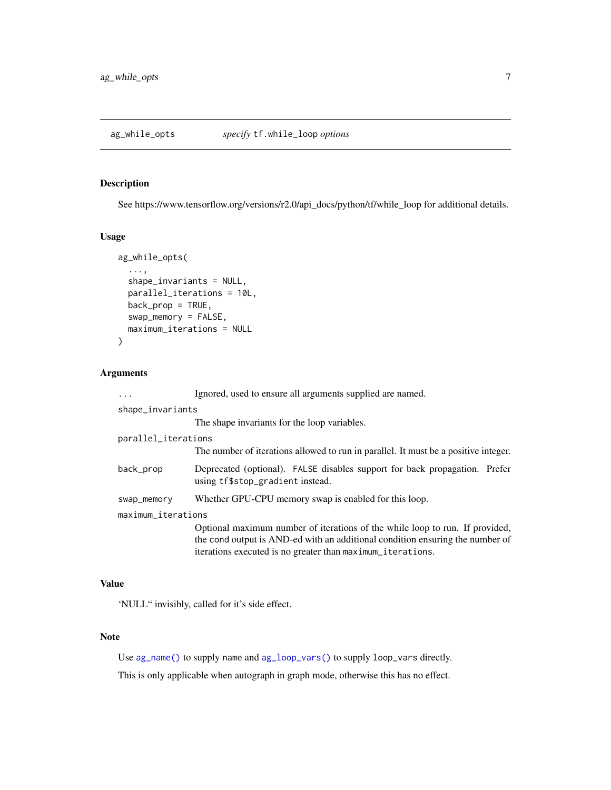<span id="page-6-0"></span>

#### Description

See https://www.tensorflow.org/versions/r2.0/api\_docs/python/tf/while\_loop for additional details.

#### Usage

```
ag_while_opts(
  ...,
  shape_invariants = NULL,
 parallel_iterations = 10L,
 back_prop = TRUE,
  swap_memory = FALSE,
  maximum_iterations = NULL
\mathcal{L}
```
# Arguments

| $\cdots$            | Ignored, used to ensure all arguments supplied are named.                                                      |  |
|---------------------|----------------------------------------------------------------------------------------------------------------|--|
| shape_invariants    |                                                                                                                |  |
|                     | The shape invariants for the loop variables.                                                                   |  |
| parallel_iterations |                                                                                                                |  |
|                     | The number of iterations allowed to run in parallel. It must be a positive integer.                            |  |
| back_prop           | Deprecated (optional). FALSE disables support for back propagation. Prefer<br>using tf\$stop_gradient instead. |  |
| swap_memory         | Whether GPU-CPU memory swap is enabled for this loop.                                                          |  |
| maximum_iterations  |                                                                                                                |  |
|                     | Optional maximum number of iterations of the while loop to run. If provided,                                   |  |
|                     | the cond output is AND-ed with an additional condition ensuring the number of                                  |  |
|                     | iterations executed is no greater than maximum_iterations.                                                     |  |

#### Value

'NULL" invisibly, called for it's side effect.

# Note

Use [ag\\_name\(\)](#page-5-1) to supply name and [ag\\_loop\\_vars\(\)](#page-3-1) to supply loop\_vars directly.

This is only applicable when autograph in graph mode, otherwise this has no effect.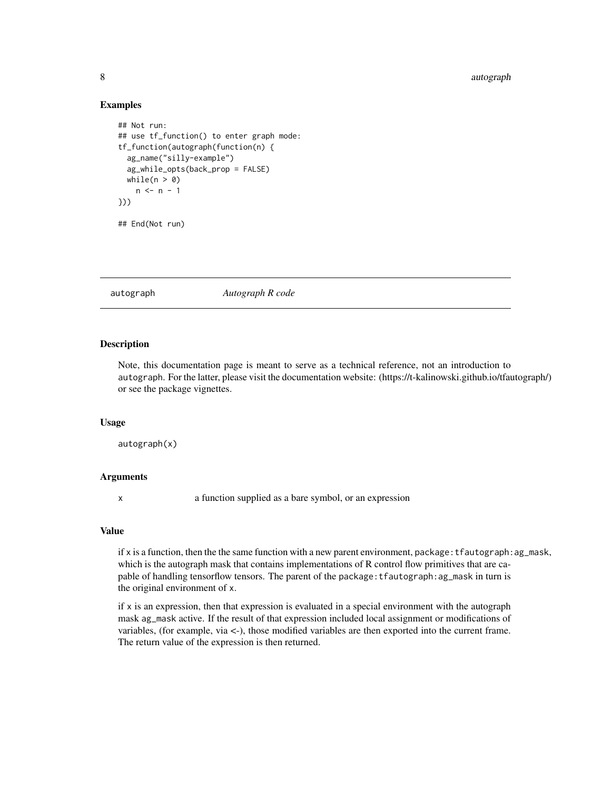#### 8 autographic contracts of the contracts of the contracts of the contracts of the contracts of the contracts of the contracts of the contracts of the contracts of the contracts of the contracts of the contracts of the cont

#### Examples

```
## Not run:
## use tf_function() to enter graph mode:
tf_function(autograph(function(n) {
 ag_name("silly-example")
 ag_while_opts(back_prop = FALSE)
 while(n > 0)
   n \leq -n - 1}))
## End(Not run)
```
#### autograph *Autograph R code*

# Description

Note, this documentation page is meant to serve as a technical reference, not an introduction to autograph. For the latter, please visit the documentation website: (https://t-kalinowski.github.io/tfautograph/) or see the package vignettes.

#### Usage

autograph(x)

# Arguments

x a function supplied as a bare symbol, or an expression

#### Value

if x is a function, then the the same function with a new parent environment, package:  $t$  fautograph: ag\_mask, which is the autograph mask that contains implementations of R control flow primitives that are capable of handling tensorflow tensors. The parent of the package:tfautograph:ag\_mask in turn is the original environment of x.

if  $x$  is an expression, then that expression is evaluated in a special environment with the autograph mask ag\_mask active. If the result of that expression included local assignment or modifications of variables, (for example, via <-), those modified variables are then exported into the current frame. The return value of the expression is then returned.

<span id="page-7-0"></span>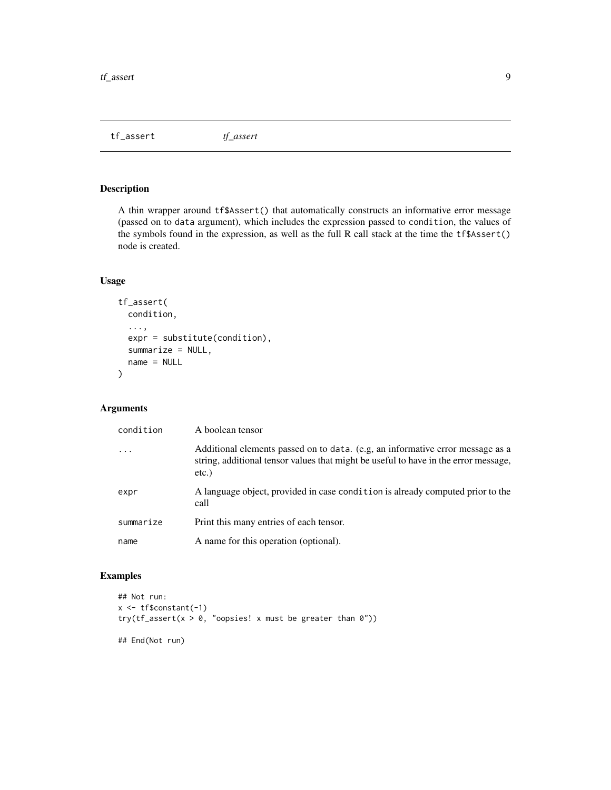<span id="page-8-0"></span>tf\_assert *tf\_assert*

# Description

A thin wrapper around tf\$Assert() that automatically constructs an informative error message (passed on to data argument), which includes the expression passed to condition, the values of the symbols found in the expression, as well as the full R call stack at the time the tf\$Assert() node is created.

# Usage

```
tf_assert(
  condition,
  ...,
  expr = substitute(condition),
  summarize = NULL,
  name = NULL
\mathcal{L}
```
# Arguments

| condition               | A boolean tensor                                                                                                                                                                  |
|-------------------------|-----------------------------------------------------------------------------------------------------------------------------------------------------------------------------------|
| $\cdot$ $\cdot$ $\cdot$ | Additional elements passed on to data. (e.g. an informative error message as a<br>string, additional tensor values that might be useful to have in the error message,<br>$etc.$ ) |
| expr                    | A language object, provided in case condition is already computed prior to the<br>call                                                                                            |
| summarize               | Print this many entries of each tensor.                                                                                                                                           |
| name                    | A name for this operation (optional).                                                                                                                                             |

```
## Not run:
x <- tf$constant(-1)
try(tf_assert(x > 0, "oopsies! x must be greater than 0"))
## End(Not run)
```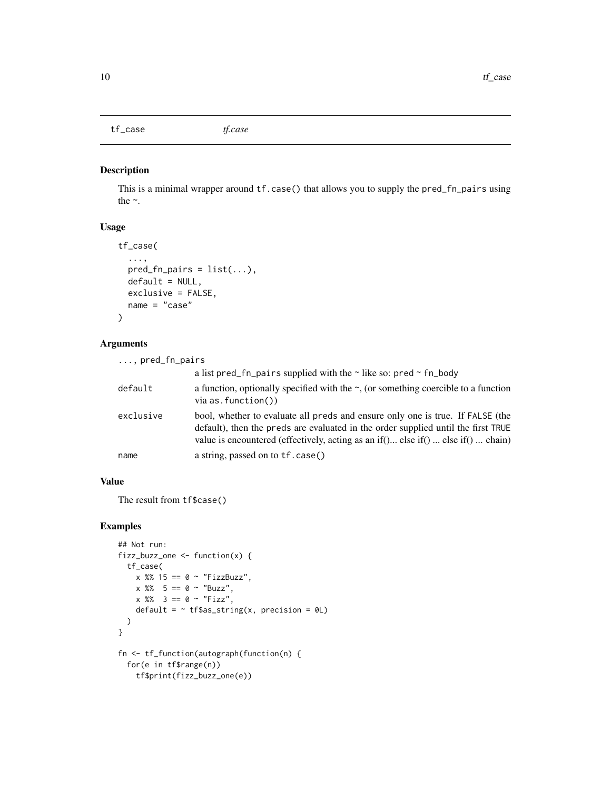# <span id="page-9-0"></span>tf\_case *tf.case*

#### Description

This is a minimal wrapper around tf.case() that allows you to supply the pred\_fn\_pairs using the ~.

#### Usage

```
tf_case(
  ...,
 pred_fn\_pairs = list(...),default = NULL,exclusive = FALSE,
 name = "case"
)
```
# Arguments

| $\ldots$ , pred_fn_pairs |                                                                                                                                                                                                                                                                     |
|--------------------------|---------------------------------------------------------------------------------------------------------------------------------------------------------------------------------------------------------------------------------------------------------------------|
|                          | a list pred fn pairs supplied with the $\sim$ like so: pred $\sim$ fn body                                                                                                                                                                                          |
| default                  | a function, optionally specified with the $\sim$ , (or something coercible to a function<br>$via$ as. function())                                                                                                                                                   |
| exclusive                | bool, whether to evaluate all preds and ensure only one is true. If FALSE (the<br>default), then the preds are evaluated in the order supplied until the first TRUE<br>value is encountered (effectively, acting as an if $($ ) else if $($ )  else if $($ )  chain |
| name                     | a string, passed on to tf.case()                                                                                                                                                                                                                                    |

#### Value

The result from tf\$case()

```
## Not run:
fizz_buzz_one <- function(x) {
  tf_case(
    x %% 15 == 0 ~ "FizzBuzz",
   x \, 8\% \, 5 == 0 \sim "Buzz",x \, %\, 3 = 0 \sim "Fizz",default = \sim tf$as_string(x, precision = 0L)
 )
}
fn <- tf_function(autograph(function(n) {
 for(e in tf$range(n))
    tf$print(fizz_buzz_one(e))
```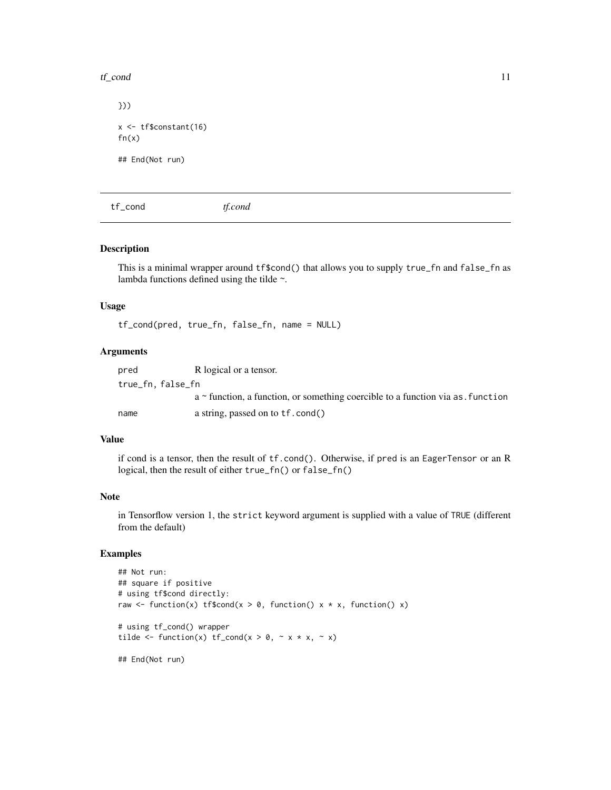#### <span id="page-10-0"></span> $t f_{\text{cond}}$  11

})) x <- tf\$constant(16)  $fn(x)$ ## End(Not run)

tf\_cond *tf.cond*

#### Description

This is a minimal wrapper around tf\$cond() that allows you to supply true\_fn and false\_fn as lambda functions defined using the tilde  $\sim$ .

#### Usage

tf\_cond(pred, true\_fn, false\_fn, name = NULL)

# Arguments

| pred             | R logical or a tensor.                                                               |
|------------------|--------------------------------------------------------------------------------------|
| true_fn.false_fn |                                                                                      |
|                  | $a \sim$ function, a function, or something coercible to a function via as, function |
| name             | a string, passed on to tf.cond()                                                     |

# Value

if cond is a tensor, then the result of tf.cond(). Otherwise, if pred is an EagerTensor or an R logical, then the result of either true\_fn() or false\_fn()

#### Note

in Tensorflow version 1, the strict keyword argument is supplied with a value of TRUE (different from the default)

# Examples

```
## Not run:
## square if positive
# using tf$cond directly:
raw \le function(x) tf$cond(x > 0, function() x * x, function() x)
# using tf_cond() wrapper
tilde \le function(x) tf_cond(x > 0, \sim x \star x, \sim x)
```
## End(Not run)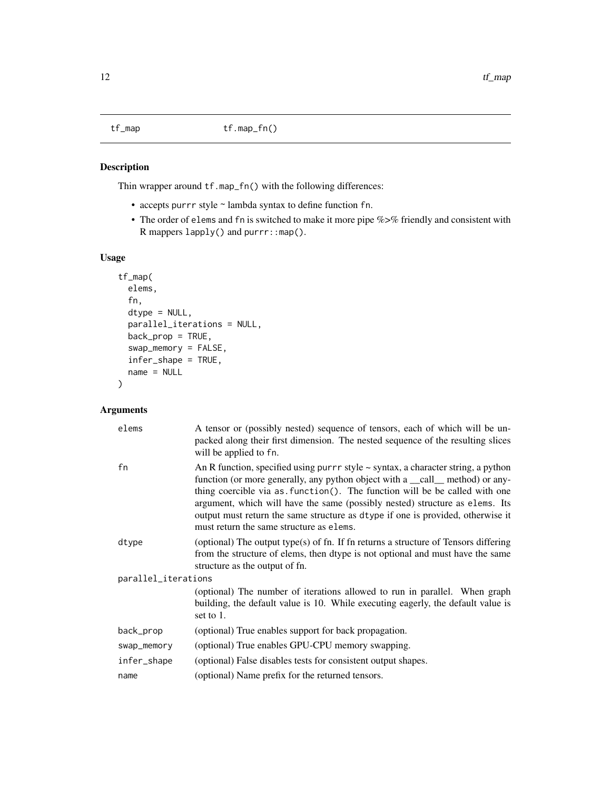#### <span id="page-11-0"></span>Description

Thin wrapper around tf.map\_fn() with the following differences:

- accepts purrr style ~ lambda syntax to define function fn.
- The order of elems and fn is switched to make it more pipe %>% friendly and consistent with R mappers lapply() and purrr::map().

# Usage

```
tf_map(
 elems,
  fn,
 dtype = NULL,
 parallel_iterations = NULL,
 back_prop = TRUE,
  swap_memory = FALSE,
 infer_shape = TRUE,
 name = NULL
\mathcal{L}
```
# Arguments

| A tensor or (possibly nested) sequence of tensors, each of which will be un-<br>packed along their first dimension. The nested sequence of the resulting slices<br>will be applied to fn.                                                                                                                                                                                                                                                                              |  |  |
|------------------------------------------------------------------------------------------------------------------------------------------------------------------------------------------------------------------------------------------------------------------------------------------------------------------------------------------------------------------------------------------------------------------------------------------------------------------------|--|--|
| An R function, specified using pur $r$ style $\sim$ syntax, a character string, a python<br>function (or more generally, any python object with a _call_ method) or any-<br>thing coercible via as. function(). The function will be be called with one<br>argument, which will have the same (possibly nested) structure as elems. Its<br>output must return the same structure as dtype if one is provided, otherwise it<br>must return the same structure as elems. |  |  |
| (optional) The output type(s) of fn. If fn returns a structure of Tensors differing<br>from the structure of elems, then dtype is not optional and must have the same<br>structure as the output of fn.                                                                                                                                                                                                                                                                |  |  |
| parallel_iterations                                                                                                                                                                                                                                                                                                                                                                                                                                                    |  |  |
| (optional) The number of iterations allowed to run in parallel. When graph<br>building, the default value is 10. While executing eagerly, the default value is<br>set to 1.                                                                                                                                                                                                                                                                                            |  |  |
| (optional) True enables support for back propagation.                                                                                                                                                                                                                                                                                                                                                                                                                  |  |  |
| (optional) True enables GPU-CPU memory swapping.                                                                                                                                                                                                                                                                                                                                                                                                                       |  |  |
| (optional) False disables tests for consistent output shapes.                                                                                                                                                                                                                                                                                                                                                                                                          |  |  |
| (optional) Name prefix for the returned tensors.                                                                                                                                                                                                                                                                                                                                                                                                                       |  |  |
|                                                                                                                                                                                                                                                                                                                                                                                                                                                                        |  |  |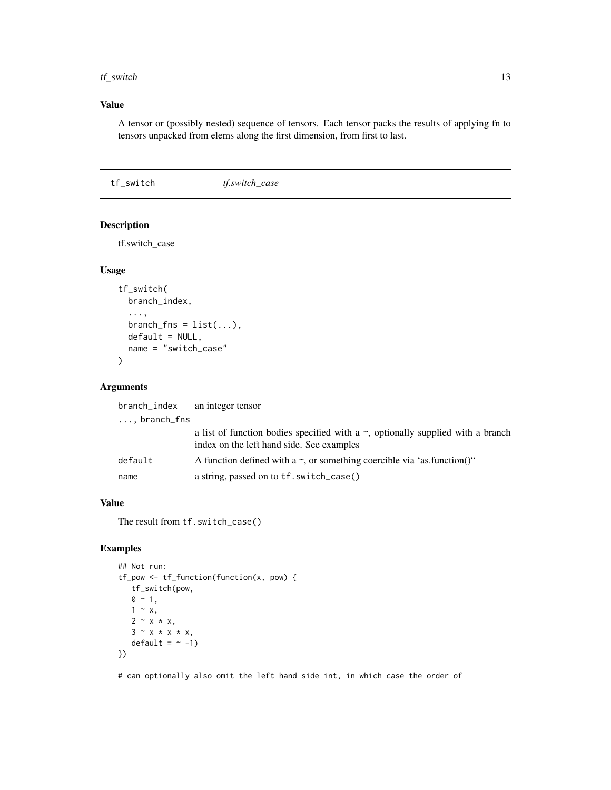#### <span id="page-12-0"></span> $tf\_switch$  13

# Value

A tensor or (possibly nested) sequence of tensors. Each tensor packs the results of applying fn to tensors unpacked from elems along the first dimension, from first to last.

tf\_switch *tf.switch\_case*

# Description

tf.switch\_case

#### Usage

```
tf_switch(
 branch_index,
  ...,
 branch_fns = list(...),default = NULL,name = "switch_case"
)
```
#### Arguments

| branch_index          | an integer tensor                                                                                                                  |
|-----------------------|------------------------------------------------------------------------------------------------------------------------------------|
| $\ldots$ , branch_fns |                                                                                                                                    |
|                       | a list of function bodies specified with a $\sim$ , optionally supplied with a branch<br>index on the left hand side. See examples |
| default               | A function defined with a $\sim$ , or something coercible via 'as.function()"                                                      |
| name                  | a string, passed on to tf. switch_case()                                                                                           |
|                       |                                                                                                                                    |

#### Value

The result from tf.switch\_case()

# Examples

```
## Not run:
tf_pow <- tf_function(function(x, pow) {
  tf_switch(pow,
  0 \sim 1,
  1 - x,
  2 - x * x,3 \sim x * x * x,default = ~ -1)})
```
# can optionally also omit the left hand side int, in which case the order of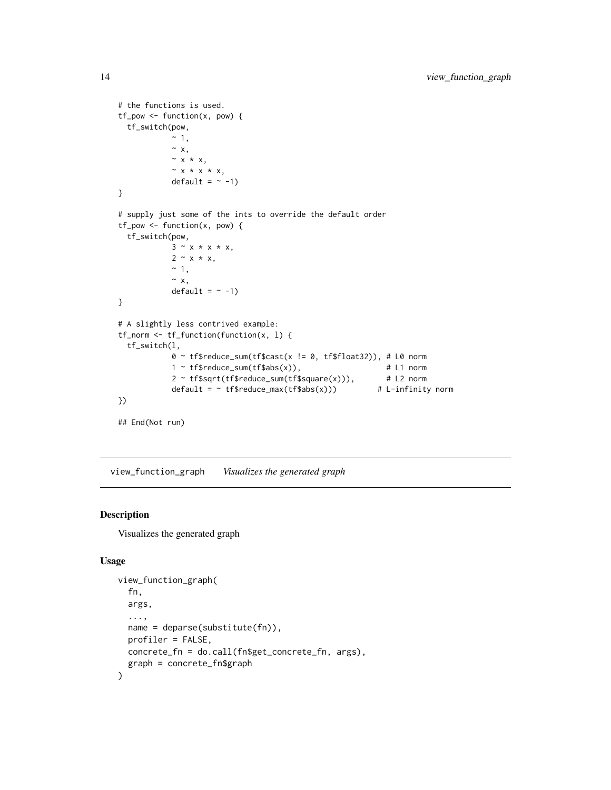```
# the functions is used.
tf_{pow} \leftarrow function(x, pow) {
  tf_switch(pow,
             ~\sim~1,
             ~\sim~ x,
             ~\sim x ~\star x,
             ~ x * x * x,
             default = ~1)}
# supply just some of the ints to override the default order
tf_pow <- function(x, pow) {
  tf_switch(pow,
             3 \sim x * x * x,
             2 - x * x,~\sim~1,
             ~\sim~x,default = ~1)}
# A slightly less contrived example:
tf_norm <- tf_function(function(x, l) {
  tf_switch(l,
             0 ~ tf$reduce_sum(tf$cast(x != 0, tf$float32)), # L0 norm
             1 ~ tf$reduce_sum(tf$abs(x)), # L1 norm<br>2 ~ tf$sqrt(tf$reduce_sum(tf$square(x))), # L2 norm
             2 \sim \text{tf}\$sqrt(tf$reduce_sum(tf$square(x))),
             default = \sim tf$reduce_max(tf$abs(x))) # L-infinity norm
})
## End(Not run)
```
view\_function\_graph *Visualizes the generated graph*

#### Description

Visualizes the generated graph

#### Usage

```
view_function_graph(
  fn,
  args,
  ...,
 name = deparse(substitute(fn)),
 profiler = FALSE,
 concrete_fn = do.call(fn$get_concrete_fn, args),
  graph = concrete_fn$graph
\mathcal{E}
```
<span id="page-13-0"></span>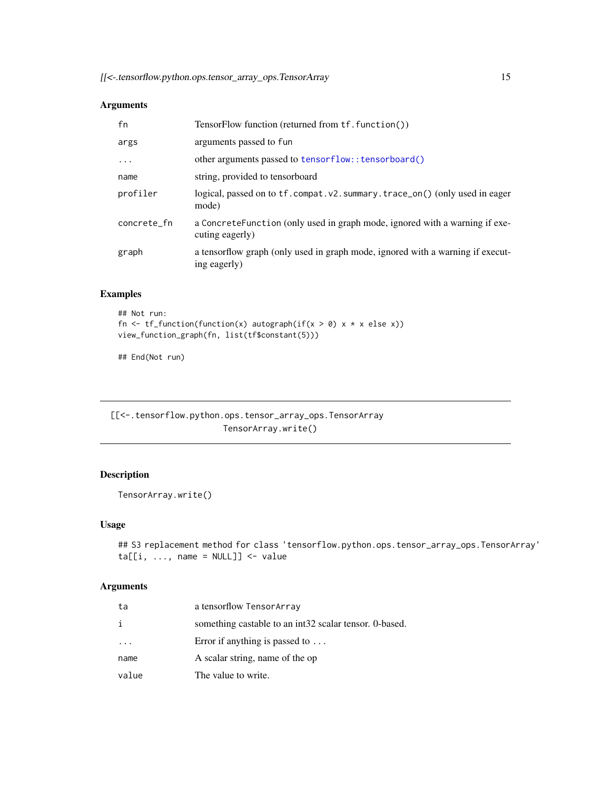# <span id="page-14-0"></span>Arguments

| fn          | TensorFlow function (returned from tf. function())                                             |
|-------------|------------------------------------------------------------------------------------------------|
| args        | arguments passed to fun                                                                        |
| .           | other arguments passed to tensorflow:: tensorboard()                                           |
| name        | string, provided to tensorboard                                                                |
| profiler    | logical, passed on to tf. compat. v2. summary. trace_on() (only used in eager<br>mode)         |
| concrete_fn | a ConcreteFunction (only used in graph mode, ignored with a warning if exe-<br>cuting eagerly) |
| graph       | a tensorflow graph (only used in graph mode, ignored with a warning if execut-<br>ing eagerly) |

# Examples

```
## Not run:
fn \leq tf_function(function(x) autograph(if(x > 0) x * x else x))
view_function_graph(fn, list(tf$constant(5)))
```
## End(Not run)

[[<-.tensorflow.python.ops.tensor\_array\_ops.TensorArray TensorArray.write()

# Description

```
TensorArray.write()
```
#### Usage

```
## S3 replacement method for class 'tensorflow.python.ops.tensor_array_ops.TensorArray'
ta[[i, ..., name = NULL]] <- value
```
# Arguments

| ta      | a tensorflow TensorArray                               |
|---------|--------------------------------------------------------|
| i       | something castable to an int32 scalar tensor. 0-based. |
| $\cdot$ | Error if anything is passed to $\dots$                 |
| name    | A scalar string, name of the op                        |
| value   | The value to write.                                    |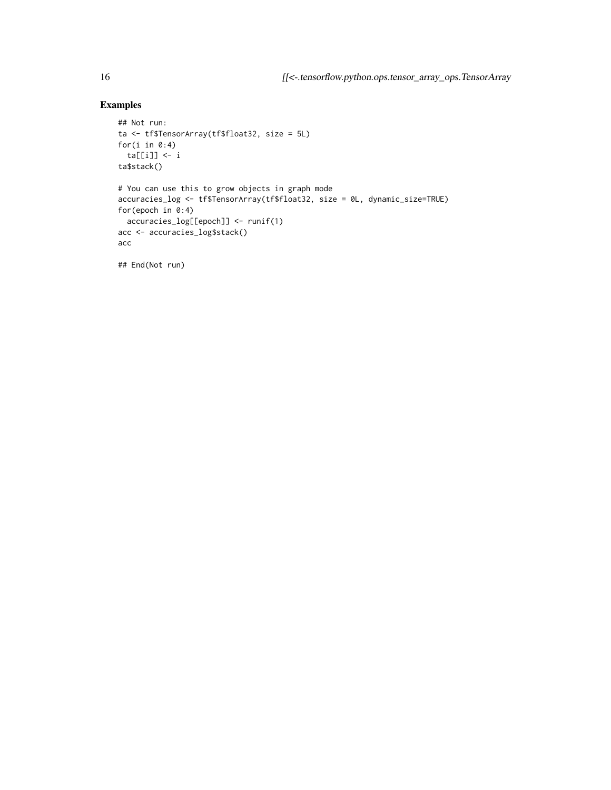# Examples

```
## Not run:
ta <- tf$TensorArray(tf$float32, size = 5L)
for(i in 0:4)
 ta[[i]] <- i
ta$stack()
# You can use this to grow objects in graph mode
accuracies_log <- tf$TensorArray(tf$float32, size = 0L, dynamic_size=TRUE)
for(epoch in 0:4)
 accuracies_log[[epoch]] <- runif(1)
acc <- accuracies_log$stack()
acc
```
## End(Not run)